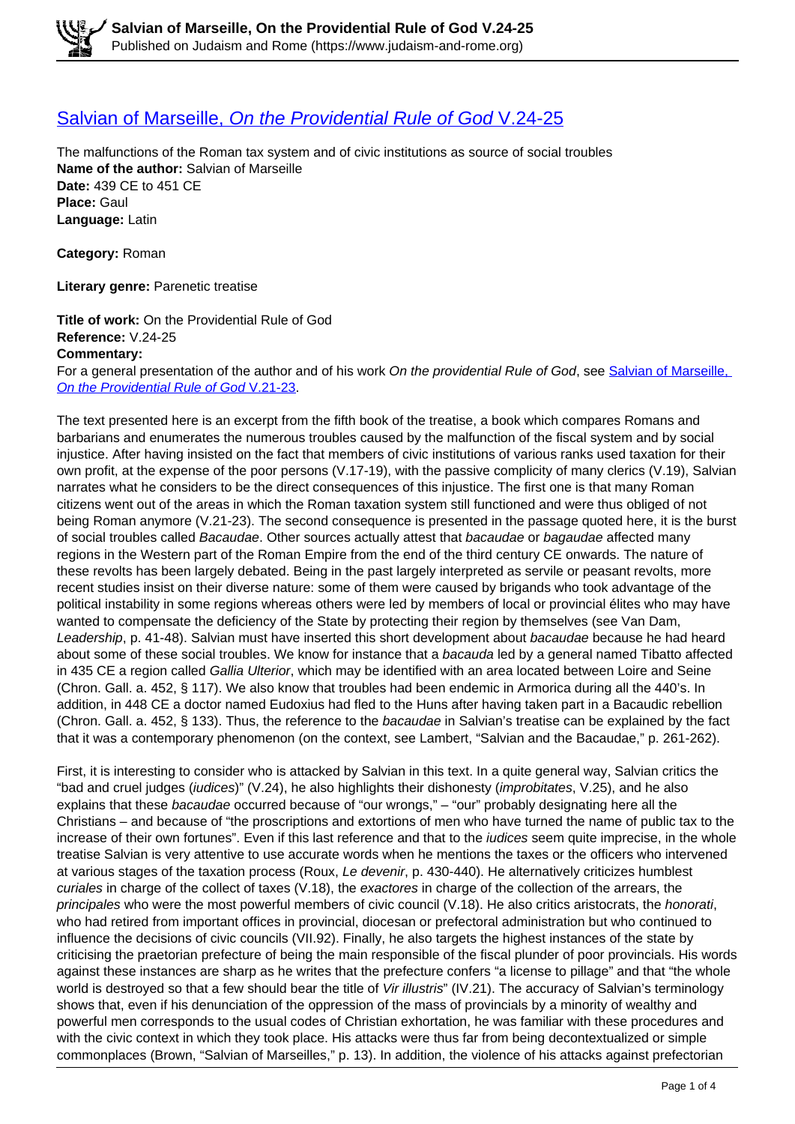## [Salvian of Marseille,](https://www.judaism-and-rome.org/salvian-marseille-providential-rule-god%C2%A0v24-25) [On the Providential Rule of God](https://www.judaism-and-rome.org/salvian-marseille-providential-rule-god%C2%A0v24-25) [V.24-25](https://www.judaism-and-rome.org/salvian-marseille-providential-rule-god%C2%A0v24-25)

The malfunctions of the Roman tax system and of civic institutions as source of social troubles **Name of the author:** Salvian of Marseille **Date:** 439 CE to 451 CE **Place:** Gaul **Language:** Latin

**Category:** Roman

**Literary genre:** Parenetic treatise

**Title of work:** On the Providential Rule of God **Reference:** V.24-25 **Commentary:**  For a general presentation of the author and of his work On the providential Rule of God, see Salvian of Marseille. On the Providential Rule of God V.21-23.

The text presented here is an excerpt from the fifth book of the treatise, a book which compares Romans and barbarians and enumerates the numerous troubles caused by the malfunction of the fiscal system and by social injustice. After having insisted on the fact that members of civic institutions of various ranks used taxation for their own profit, at the expense of the poor persons (V.17-19), with the passive complicity of many clerics (V.19), Salvian narrates what he considers to be the direct consequences of this injustice. The first one is that many Roman citizens went out of the areas in which the Roman taxation system still functioned and were thus obliged of not being Roman anymore (V.21-23). The second consequence is presented in the passage quoted here, it is the burst of social troubles called Bacaudae. Other sources actually attest that bacaudae or bagaudae affected many regions in the Western part of the Roman Empire from the end of the third century CE onwards. The nature of these revolts has been largely debated. Being in the past largely interpreted as servile or peasant revolts, more recent studies insist on their diverse nature: some of them were caused by brigands who took advantage of the political instability in some regions whereas others were led by members of local or provincial élites who may have wanted to compensate the deficiency of the State by protecting their region by themselves (see Van Dam, Leadership, p. 41-48). Salvian must have inserted this short development about bacaudae because he had heard about some of these social troubles. We know for instance that a bacauda led by a general named Tibatto affected in 435 CE a region called Gallia Ulterior, which may be identified with an area located between Loire and Seine (Chron. Gall. a. 452, § 117). We also know that troubles had been endemic in Armorica during all the 440's. In addition, in 448 CE a doctor named Eudoxius had fled to the Huns after having taken part in a Bacaudic rebellion (Chron. Gall. a. 452, § 133). Thus, the reference to the bacaudae in Salvian's treatise can be explained by the fact that it was a contemporary phenomenon (on the context, see Lambert, "Salvian and the Bacaudae," p. 261-262).

First, it is interesting to consider who is attacked by Salvian in this text. In a quite general way, Salvian critics the "bad and cruel judges (iudices)" (V.24), he also highlights their dishonesty (improbitates, V.25), and he also explains that these bacaudae occurred because of "our wrongs," – "our" probably designating here all the Christians – and because of "the proscriptions and extortions of men who have turned the name of public tax to the increase of their own fortunes". Even if this last reference and that to the *iudices* seem quite imprecise, in the whole treatise Salvian is very attentive to use accurate words when he mentions the taxes or the officers who intervened at various stages of the taxation process (Roux, Le devenir, p. 430-440). He alternatively criticizes humblest curiales in charge of the collect of taxes (V.18), the exactores in charge of the collection of the arrears, the principales who were the most powerful members of civic council (V.18). He also critics aristocrats, the honorati, who had retired from important offices in provincial, diocesan or prefectoral administration but who continued to influence the decisions of civic councils (VII.92). Finally, he also targets the highest instances of the state by criticising the praetorian prefecture of being the main responsible of the fiscal plunder of poor provincials. His words against these instances are sharp as he writes that the prefecture confers "a license to pillage" and that "the whole world is destroyed so that a few should bear the title of Vir illustris" (IV.21). The accuracy of Salvian's terminology shows that, even if his denunciation of the oppression of the mass of provincials by a minority of wealthy and powerful men corresponds to the usual codes of Christian exhortation, he was familiar with these procedures and with the civic context in which they took place. His attacks were thus far from being decontextualized or simple commonplaces (Brown, "Salvian of Marseilles," p. 13). In addition, the violence of his attacks against prefectorian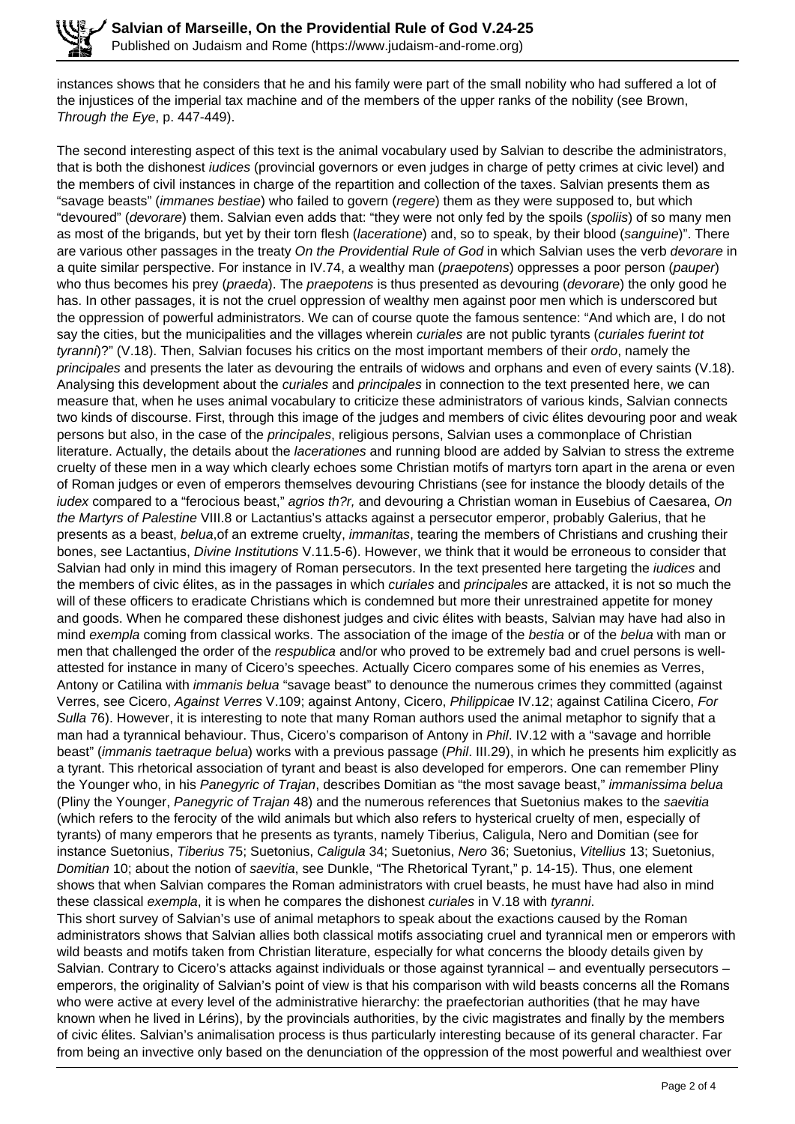instances shows that he considers that he and his family were part of the small nobility who had suffered a lot of the injustices of the imperial tax machine and of the members of the upper ranks of the nobility (see Brown, Through the Eye, p. 447-449).

The second interesting aspect of this text is the animal vocabulary used by Salvian to describe the administrators, that is both the dishonest *iudices* (provincial governors or even judges in charge of petty crimes at civic level) and the members of civil instances in charge of the repartition and collection of the taxes. Salvian presents them as "savage beasts" (*immanes bestiae*) who failed to govern (regere) them as they were supposed to, but which "devoured" (*devorare*) them. Salvian even adds that: "they were not only fed by the spoils (*spoliis*) of so many men as most of the brigands, but yet by their torn flesh (laceratione) and, so to speak, by their blood (sanguine)". There are various other passages in the treaty On the Providential Rule of God in which Salvian uses the verb devorare in a quite similar perspective. For instance in IV.74, a wealthy man (praepotens) oppresses a poor person (pauper) who thus becomes his prey (praeda). The praepotens is thus presented as devouring (devorare) the only good he has. In other passages, it is not the cruel oppression of wealthy men against poor men which is underscored but the oppression of powerful administrators. We can of course quote the famous sentence: "And which are, I do not say the cities, but the municipalities and the villages wherein *curiales* are not public tyrants (*curiales fuerint tot* tyranni)?" (V.18). Then, Salvian focuses his critics on the most important members of their ordo, namely the principales and presents the later as devouring the entrails of widows and orphans and even of every saints (V.18). Analysing this development about the curiales and principales in connection to the text presented here, we can measure that, when he uses animal vocabulary to criticize these administrators of various kinds, Salvian connects two kinds of discourse. First, through this image of the judges and members of civic élites devouring poor and weak persons but also, in the case of the *principales*, religious persons. Salvian uses a commonplace of Christian literature. Actually, the details about the *lacerationes* and running blood are added by Salvian to stress the extreme cruelty of these men in a way which clearly echoes some Christian motifs of martyrs torn apart in the arena or even of Roman judges or even of emperors themselves devouring Christians (see for instance the bloody details of the iudex compared to a "ferocious beast," agrios th?r, and devouring a Christian woman in Eusebius of Caesarea, On the Martyrs of Palestine VIII.8 or Lactantius's attacks against a persecutor emperor, probably Galerius, that he presents as a beast, *belua*, of an extreme cruelty, *immanitas*, tearing the members of Christians and crushing their bones, see Lactantius, Divine Institutions V.11.5-6). However, we think that it would be erroneous to consider that Salvian had only in mind this imagery of Roman persecutors. In the text presented here targeting the *judices* and the members of civic élites, as in the passages in which curiales and principales are attacked, it is not so much the will of these officers to eradicate Christians which is condemned but more their unrestrained appetite for money and goods. When he compared these dishonest judges and civic élites with beasts, Salvian may have had also in mind exempla coming from classical works. The association of the image of the bestia or of the belua with man or men that challenged the order of the respublica and/or who proved to be extremely bad and cruel persons is wellattested for instance in many of Cicero's speeches. Actually Cicero compares some of his enemies as Verres, Antony or Catilina with *immanis belua* "savage beast" to denounce the numerous crimes they committed (against Verres, see Cicero, Against Verres V.109; against Antony, Cicero, Philippicae IV.12; against Catilina Cicero, For Sulla 76). However, it is interesting to note that many Roman authors used the animal metaphor to signify that a man had a tyrannical behaviour. Thus, Cicero's comparison of Antony in Phil. IV.12 with a "savage and horrible beast" (immanis taetraque belua) works with a previous passage (Phil. III.29), in which he presents him explicitly as a tyrant. This rhetorical association of tyrant and beast is also developed for emperors. One can remember Pliny the Younger who, in his Panegyric of Trajan, describes Domitian as "the most savage beast," immanissima belua (Pliny the Younger, Panegyric of Trajan 48) and the numerous references that Suetonius makes to the saevitia (which refers to the ferocity of the wild animals but which also refers to hysterical cruelty of men, especially of tyrants) of many emperors that he presents as tyrants, namely Tiberius, Caligula, Nero and Domitian (see for instance Suetonius, Tiberius 75; Suetonius, Caligula 34; Suetonius, Nero 36; Suetonius, Vitellius 13; Suetonius, Domitian 10; about the notion of saevitia, see Dunkle, "The Rhetorical Tyrant," p. 14-15). Thus, one element shows that when Salvian compares the Roman administrators with cruel beasts, he must have had also in mind these classical exempla, it is when he compares the dishonest *curiales* in V.18 with tyranni. This short survey of Salvian's use of animal metaphors to speak about the exactions caused by the Roman administrators shows that Salvian allies both classical motifs associating cruel and tyrannical men or emperors with wild beasts and motifs taken from Christian literature, especially for what concerns the bloody details given by Salvian. Contrary to Cicero's attacks against individuals or those against tyrannical – and eventually persecutors – emperors, the originality of Salvian's point of view is that his comparison with wild beasts concerns all the Romans who were active at every level of the administrative hierarchy: the praefectorian authorities (that he may have known when he lived in Lérins), by the provincials authorities, by the civic magistrates and finally by the members of civic élites. Salvian's animalisation process is thus particularly interesting because of its general character. Far

from being an invective only based on the denunciation of the oppression of the most powerful and wealthiest over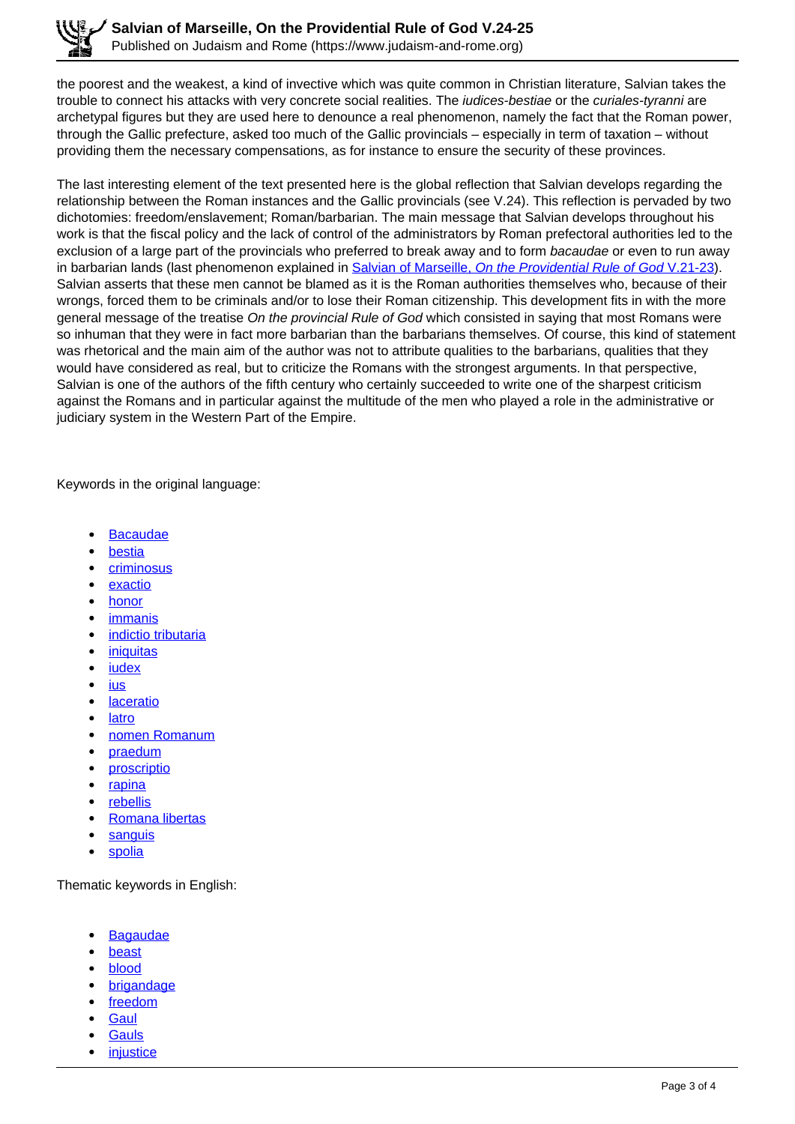the poorest and the weakest, a kind of invective which was quite common in Christian literature, Salvian takes the trouble to connect his attacks with very concrete social realities. The *judices-bestiae* or the *curiales-tyranni* are archetypal figures but they are used here to denounce a real phenomenon, namely the fact that the Roman power, through the Gallic prefecture, asked too much of the Gallic provincials – especially in term of taxation – without providing them the necessary compensations, as for instance to ensure the security of these provinces.

The last interesting element of the text presented here is the global reflection that Salvian develops regarding the relationship between the Roman instances and the Gallic provincials (see V.24). This reflection is pervaded by two dichotomies: freedom/enslavement; Roman/barbarian. The main message that Salvian develops throughout his work is that the fiscal policy and the lack of control of the administrators by Roman prefectoral authorities led to the exclusion of a large part of the provincials who preferred to break away and to form bacaudae or even to run away in barbarian lands (last phenomenon explained in Salvian of Marseille, On the Providential Rule of God V.21-23). Salvian asserts that these men cannot be blamed as it is the Roman authorities themselves who, because of their wrongs, forced them to be criminals and/or to lose their Roman citizenship. This development fits in with the more general message of the treatise On the provincial Rule of God which consisted in saying that most Romans were so inhuman that they were in fact more barbarian than the barbarians themselves. Of course, this kind of statement was rhetorical and the main aim of the author was not to attribute qualities to the barbarians, qualities that they would have considered as real, but to criticize the Romans with the strongest arguments. In that perspective, Salvian is one of the authors of the fifth century who certainly succeeded to write one of the sharpest criticism against the Romans and in particular against the multitude of the men who played a role in the administrative or judiciary system in the Western Part of the Empire.

Keywords in the original language:

- **Bacaudae**
- bestia
- criminosus
- exactio
- honor
- immanis
- indictio tributaria
- iniquitas
- iudex
- ius
- laceratio
- latro
- nomen Romanum
- praedum
- proscriptio
- rapina
- rebellis
- Romana libertas
- sanguis
- spolia

Thematic keywords in English:

- **Bagaudae**
- beast
- blood
- brigandage
- freedom
- **Gaul**
- **Gauls**
- **injustice**